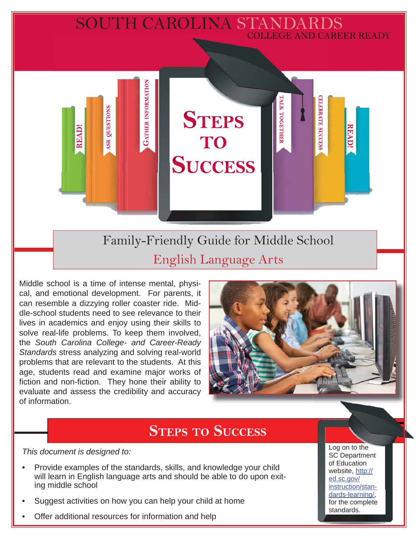# SOUTH CAROLINA STANDARDS COLLEGE AND CAREER READY

Family-Friendly Guide for Middle School English Language Arts

**STEPS** 

**TO** 

**SUCCESS** 

Middle school is a time of intense mental, physical, and emotional development. For parents, it can resemble a dizzying roller coaster ride. Middle-school students need to see relevance to their lives in academics and enjoy using their skills to solve real-life problems. To keep them involved, the *South Carolina College- and Career-Ready Standards* stress analyzing and solving real-world problems that are relevant to the students. At this age, students read and examine major works of fiction and non-fiction. They hone their ability to evaluate and assess the credibility and accuracy of information.

**GATHER INFORMATION** 

**SK QUESTIONS** 

**READ!** 



**CELEBRATE SUCCESS** 

**READ!** 

ГАГК ТОGЕТНЕЕ

# **STEPS TO SUCCESS**

*This document is designed to:* 

- Provide examples of the standards, skills, and knowledge your child will learn in English language arts and should be able to do upon exiting middle school
- Suggest activities on how you can help your child at home
- Offer additional resources for information and help

Log on to the SC Department of Education website, http:// ed.sc.gov/ instruction/standards-learning/, for the complete standards.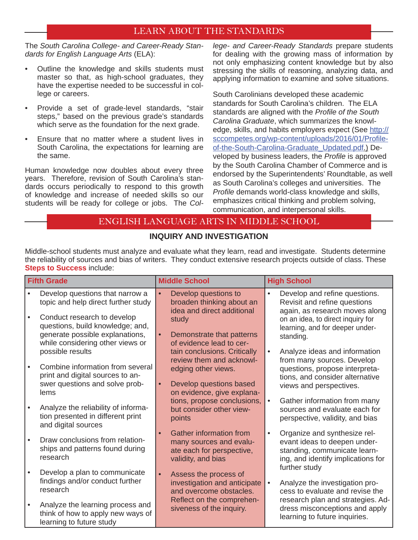#### LEARN ABOUT THE STANDARDS

The *South Carolina College- and Career-Ready Standards for English Language Arts* (ELA):

- Outline the knowledge and skills students must master so that, as high-school graduates, they have the expertise needed to be successful in college or careers.
- Provide a set of grade-level standards, "stair steps," based on the previous grade's standards which serve as the foundation for the next grade.
- Ensure that no matter where a student lives in South Carolina, the expectations for learning are the same.

Human knowledge now doubles about every three years. Therefore, revision of South Carolina's standards occurs periodically to respond to this growth of knowledge and increase of needed skills so our students will be ready for college or jobs. The *Col-* *lege- and Career-Ready Standards* prepare students for dealing with the growing mass of information by not only emphasizing content knowledge but by also stressing the skills of reasoning, analyzing data, and applying information to examine and solve situations.

South Carolinians developed these academic standards for South Carolina's children. The ELA standards are aligned with the *Profile of the South Carolina Graduate*, which summarizes the knowledge, skills, and habits employers expect (See http:// sccompetes.org/wp-content/uploads/2016/01/Profileof-the-South-Carolina-Graduate\_Updated.pdf.) Developed by business leaders, the *Profile* is approved by the South Carolina Chamber of Commerce and is endorsed by the Superintendents' Roundtable, as well as South Carolina's colleges and universities. The *Profile* demands world-class knowledge and skills. emphasizes critical thinking and problem solving, communication, and interpersonal skills.

#### ENGLISH LANGUAGE ARTS IN MIDDLE SCHOOL

#### **INQUIRY AND INVESTIGATION**

Middle-school students must analyze and evaluate what they learn, read and investigate. Students determine the reliability of sources and bias of writers. They conduct extensive research projects outside of class. These **Steps to Success** include:

| <b>Fifth Grade</b> |                                                                                                   | <b>Middle School</b>                                                                                                      | <b>High School</b>                                                                                                                              |  |  |
|--------------------|---------------------------------------------------------------------------------------------------|---------------------------------------------------------------------------------------------------------------------------|-------------------------------------------------------------------------------------------------------------------------------------------------|--|--|
|                    | Develop questions that narrow a<br>topic and help direct further study                            | Develop questions to<br>$\bullet$<br>broaden thinking about an<br>idea and direct additional                              | Develop and refine questions.<br>$\bullet$<br>Revisit and refine questions<br>again, as research moves along                                    |  |  |
|                    | Conduct research to develop<br>questions, build knowledge; and,                                   | study                                                                                                                     | on an idea, to direct inquiry for<br>learning, and for deeper under-                                                                            |  |  |
|                    | generate possible explanations,<br>while considering other views or                               | Demonstrate that patterns<br>of evidence lead to cer-                                                                     | standing.                                                                                                                                       |  |  |
|                    | possible results<br>Combine information from several                                              | tain conclusions. Critically<br>review them and acknowl-                                                                  | Analyze ideas and information<br>$\bullet$<br>from many sources. Develop                                                                        |  |  |
|                    | print and digital sources to an-<br>swer questions and solve prob-                                | edging other views.<br>Develop questions based<br>$\bullet$                                                               | questions, propose interpreta-<br>tions, and consider alternative                                                                               |  |  |
|                    | lems                                                                                              | on evidence, give explana-<br>tions, propose conclusions,                                                                 | views and perspectives.<br>Gather information from many<br>$\bullet$                                                                            |  |  |
|                    | Analyze the reliability of informa-<br>tion presented in different print<br>and digital sources   | but consider other view-<br>points                                                                                        | sources and evaluate each for<br>perspective, validity, and bias                                                                                |  |  |
|                    | Draw conclusions from relation-<br>ships and patterns found during<br>research                    | <b>Gather information from</b><br>$\bullet$<br>many sources and evalu-<br>ate each for perspective,<br>validity, and bias | Organize and synthesize rel-<br>$\bullet$<br>evant ideas to deepen under-<br>standing, communicate learn-<br>ing, and identify implications for |  |  |
|                    | Develop a plan to communicate<br>findings and/or conduct further<br>research                      | $\bullet$<br>Assess the process of<br>investigation and anticipate<br>and overcome obstacles.                             | further study<br>Analyze the investigation pro-<br>$\bullet$<br>cess to evaluate and revise the                                                 |  |  |
|                    | Analyze the learning process and<br>think of how to apply new ways of<br>learning to future study | Reflect on the comprehen-<br>siveness of the inquiry.                                                                     | research plan and strategies. Ad-<br>dress misconceptions and apply<br>learning to future inquiries.                                            |  |  |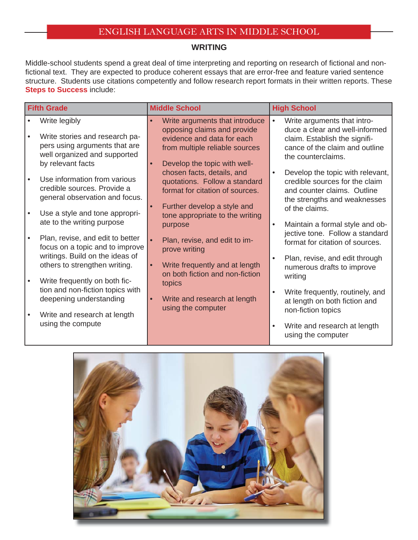#### **WRITING**

Middle-school students spend a great deal of time interpreting and reporting on research of fictional and nonfictional text. They are expected to produce coherent essays that are error-free and feature varied sentence structure. Students use citations competently and follow research report formats in their written reports. These **Steps to Success include:** 

| <b>Fifth Grade</b> |                                                                                                                                       | <b>Middle School</b> |                                                                                                                                                               | <b>High School</b> |                                                                                                                                                        |  |
|--------------------|---------------------------------------------------------------------------------------------------------------------------------------|----------------------|---------------------------------------------------------------------------------------------------------------------------------------------------------------|--------------------|--------------------------------------------------------------------------------------------------------------------------------------------------------|--|
|                    | Write legibly<br>Write stories and research pa-<br>pers using arguments that are<br>well organized and supported<br>by relevant facts |                      | Write arguments that introduce<br>opposing claims and provide<br>evidence and data for each<br>from multiple reliable sources<br>Develop the topic with well- | $\bullet$          | Write arguments that intro-<br>duce a clear and well-informed<br>claim. Establish the signifi-<br>cance of the claim and outline<br>the counterclaims. |  |
|                    | Use information from various<br>credible sources. Provide a<br>general observation and focus.                                         |                      | chosen facts, details, and<br>quotations. Follow a standard<br>format for citation of sources.<br>Further develop a style and                                 | $\bullet$          | Develop the topic with relevant,<br>credible sources for the claim<br>and counter claims. Outline<br>the strengths and weaknesses<br>of the claims.    |  |
|                    | Use a style and tone appropri-<br>ate to the writing purpose                                                                          |                      | tone appropriate to the writing<br>purpose                                                                                                                    | $\bullet$          | Maintain a formal style and ob-                                                                                                                        |  |
| $\bullet$          | Plan, revise, and edit to better<br>focus on a topic and to improve<br>writings. Build on the ideas of                                |                      | Plan, revise, and edit to im-<br>prove writing                                                                                                                | $\bullet$          | jective tone. Follow a standard<br>format for citation of sources.<br>Plan, revise, and edit through                                                   |  |
|                    | others to strengthen writing.<br>Write frequently on both fic-                                                                        |                      | Write frequently and at length<br>on both fiction and non-fiction                                                                                             |                    | numerous drafts to improve<br>writing                                                                                                                  |  |
|                    | tion and non-fiction topics with<br>deepening understanding                                                                           |                      | topics<br>Write and research at length<br>using the computer                                                                                                  | $\bullet$          | Write frequently, routinely, and<br>at length on both fiction and<br>non-fiction topics                                                                |  |
|                    | Write and research at length<br>using the compute                                                                                     |                      |                                                                                                                                                               | $\bullet$          | Write and research at length<br>using the computer                                                                                                     |  |

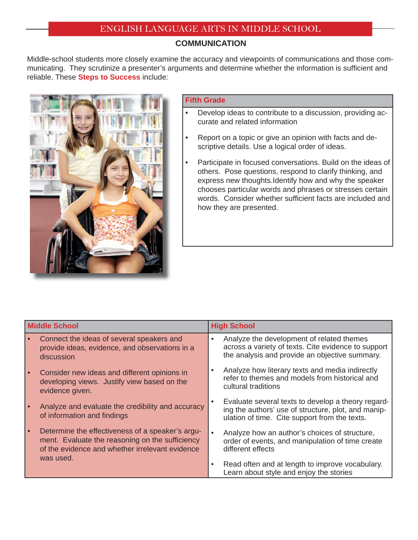#### **COMMUNICATION**

Middle-school students more closely examine the accuracy and viewpoints of communications and those communicating. They scrutinize a presenter's arguments and determine whether the information is sufficient and reliable. These **Steps to Success** include:



#### **Fifth Grade**

- Develop ideas to contribute to a discussion, providing accurate and related information
- Report on a topic or give an opinion with facts and descriptive details. Use a logical order of ideas.
- Participate in focused conversations. Build on the ideas of others. Pose questions, respond to clarify thinking, and express new thoughts.Identify how and why the speaker chooses particular words and phrases or stresses certain words. Consider whether sufficient facts are included and how they are presented.

| <b>Middle School</b> |                                                                                                                                                        | <b>High School</b> |                                                                                                                                                            |  |
|----------------------|--------------------------------------------------------------------------------------------------------------------------------------------------------|--------------------|------------------------------------------------------------------------------------------------------------------------------------------------------------|--|
|                      | Connect the ideas of several speakers and<br>provide ideas, evidence, and observations in a<br>discussion                                              |                    | Analyze the development of related themes<br>across a variety of texts. Cite evidence to support<br>the analysis and provide an objective summary.         |  |
|                      | Consider new ideas and different opinions in<br>developing views. Justify view based on the<br>evidence given.                                         |                    | Analyze how literary texts and media indirectly<br>refer to themes and models from historical and<br>cultural traditions                                   |  |
|                      | Analyze and evaluate the credibility and accuracy<br>of information and findings                                                                       |                    | Evaluate several texts to develop a theory regard-<br>ing the authors' use of structure, plot, and manip-<br>ulation of time. Cite support from the texts. |  |
|                      | Determine the effectiveness of a speaker's argu-<br>ment. Evaluate the reasoning on the sufficiency<br>of the evidence and whether irrelevant evidence | $\bullet$          | Analyze how an author's choices of structure,<br>order of events, and manipulation of time create<br>different effects                                     |  |
|                      | was used.                                                                                                                                              |                    | Read often and at length to improve vocabulary.<br>Learn about style and enjoy the stories                                                                 |  |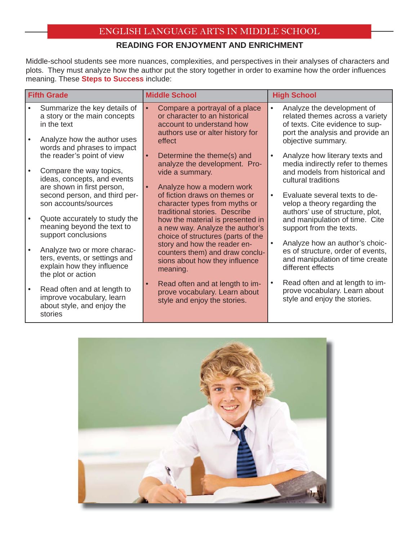## **READING FOR ENJOYMENT AND ENRICHMENT**

Middle-school students see more nuances, complexities, and perspectives in their analyses of characters and plots. They must analyze how the author put the story together in order to examine how the order influences meaning. These **Steps to Success** include:

| <b>Fifth Grade</b> |                                                                                                                                           | <b>Middle School</b>                                                                                                                       | <b>High School</b>                                                                                                                                                      |  |  |
|--------------------|-------------------------------------------------------------------------------------------------------------------------------------------|--------------------------------------------------------------------------------------------------------------------------------------------|-------------------------------------------------------------------------------------------------------------------------------------------------------------------------|--|--|
|                    | Summarize the key details of<br>a story or the main concepts<br>in the text<br>Analyze how the author uses<br>words and phrases to impact | Compare a portrayal of a place<br>or character to an historical<br>account to understand how<br>authors use or alter history for<br>effect | Analyze the development of<br>$\bullet$<br>related themes across a variety<br>of texts. Cite evidence to sup-<br>port the analysis and provide an<br>objective summary. |  |  |
|                    | the reader's point of view                                                                                                                | Determine the theme(s) and<br>$\bullet$<br>analyze the development. Pro-                                                                   | Analyze how literary texts and<br>$\bullet$<br>media indirectly refer to themes                                                                                         |  |  |
|                    | Compare the way topics,<br>ideas, concepts, and events<br>are shown in first person,                                                      | vide a summary.<br>Analyze how a modern work                                                                                               | and models from historical and<br>cultural traditions                                                                                                                   |  |  |
|                    | second person, and third per-<br>son accounts/sources                                                                                     | of fiction draws on themes or<br>character types from myths or<br>traditional stories. Describe                                            | Evaluate several texts to de-<br>$\bullet$<br>velop a theory regarding the<br>authors' use of structure, plot,                                                          |  |  |
|                    | Quote accurately to study the<br>meaning beyond the text to<br>support conclusions                                                        | how the material is presented in<br>a new way. Analyze the author's<br>choice of structures (parts of the                                  | and manipulation of time. Cite<br>support from the texts.                                                                                                               |  |  |
|                    | Analyze two or more charac-<br>ters, events, or settings and<br>explain how they influence<br>the plot or action                          | story and how the reader en-<br>counters them) and draw conclu-<br>sions about how they influence<br>meaning.                              | Analyze how an author's choic-<br>$\bullet$<br>es of structure, order of events,<br>and manipulation of time create<br>different effects                                |  |  |
|                    | Read often and at length to<br>improve vocabulary, learn<br>about style, and enjoy the<br>stories                                         | Read often and at length to im-<br>$\bullet$<br>prove vocabulary. Learn about<br>style and enjoy the stories.                              | Read often and at length to im-<br>$\bullet$<br>prove vocabulary. Learn about<br>style and enjoy the stories.                                                           |  |  |

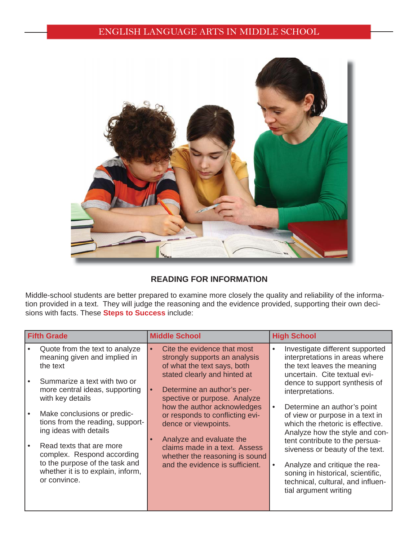

#### **READING FOR INFORMATION**

Middle-school students are better prepared to examine more closely the quality and reliability of the information provided in a text. They will judge the reasoning and the evidence provided, supporting their own decisions with facts. These **Steps to Success** include:

| <b>Fifth Grade</b> |                                                                                                                                               |           | <b>Middle School</b>                                                                        |  | <b>High School</b>                                                                                                                   |  |                                                                                                                                |  |                                                                                                                                                                              |
|--------------------|-----------------------------------------------------------------------------------------------------------------------------------------------|-----------|---------------------------------------------------------------------------------------------|--|--------------------------------------------------------------------------------------------------------------------------------------|--|--------------------------------------------------------------------------------------------------------------------------------|--|------------------------------------------------------------------------------------------------------------------------------------------------------------------------------|
|                    | Quote from the text to analyze<br>meaning given and implied in<br>the text                                                                    |           | Cite the evidence that most<br>strongly supports an analysis<br>of what the text says, both |  | Investigate different supported<br>interpretations in areas where<br>the text leaves the meaning                                     |  |                                                                                                                                |  |                                                                                                                                                                              |
|                    | Summarize a text with two or<br>more central ideas, supporting<br>with key details                                                            | $\bullet$ | stated clearly and hinted at<br>Determine an author's per-<br>spective or purpose. Analyze  |  | uncertain. Cite textual evi-<br>dence to support synthesis of<br>interpretations.                                                    |  |                                                                                                                                |  |                                                                                                                                                                              |
|                    | Make conclusions or predic-<br>tions from the reading, support-<br>ing ideas with details                                                     |           | how the author acknowledges<br>or responds to conflicting evi-<br>dence or viewpoints.      |  | Determine an author's point<br>of view or purpose in a text in<br>which the rhetoric is effective.<br>Analyze how the style and con- |  |                                                                                                                                |  |                                                                                                                                                                              |
|                    | Read texts that are more<br>complex. Respond according<br>to the purpose of the task and<br>whether it is to explain, inform,<br>or convince. |           |                                                                                             |  |                                                                                                                                      |  | Analyze and evaluate the<br>claims made in a text. Assess<br>whether the reasoning is sound<br>and the evidence is sufficient. |  | tent contribute to the persua-<br>siveness or beauty of the text.<br>Analyze and critique the rea-<br>soning in historical, scientific,<br>technical, cultural, and influen- |
|                    |                                                                                                                                               |           |                                                                                             |  | tial argument writing                                                                                                                |  |                                                                                                                                |  |                                                                                                                                                                              |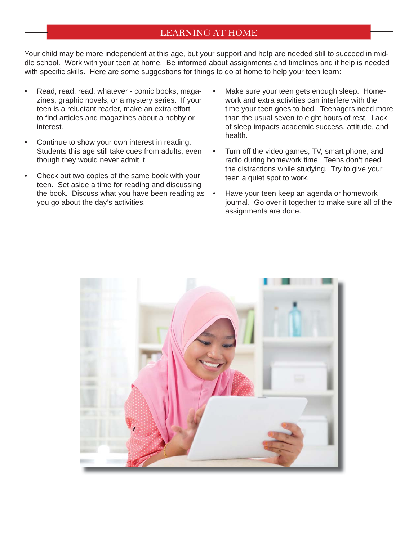### LEARNING AT HOME

Your child may be more independent at this age, but your support and help are needed still to succeed in middle school. Work with your teen at home. Be informed about assignments and timelines and if help is needed with specific skills. Here are some suggestions for things to do at home to help your teen learn:

- Read, read, read, whatever comic books, magazines, graphic novels, or a mystery series. If your teen is a reluctant reader, make an extra effort to find articles and magazines about a hobby or interest.
- Continue to show your own interest in reading. Students this age still take cues from adults, even though they would never admit it.
- Check out two copies of the same book with your teen. Set aside a time for reading and discussing the book. Discuss what you have been reading as you go about the day's activities.
- Make sure your teen gets enough sleep. Homework and extra activities can interfere with the time your teen goes to bed. Teenagers need more than the usual seven to eight hours of rest. Lack of sleep impacts academic success, attitude, and health.
- Turn off the video games, TV, smart phone, and radio during homework time. Teens don't need the distractions while studying. Try to give your teen a quiet spot to work.
- Have your teen keep an agenda or homework journal. Go over it together to make sure all of the assignments are done.